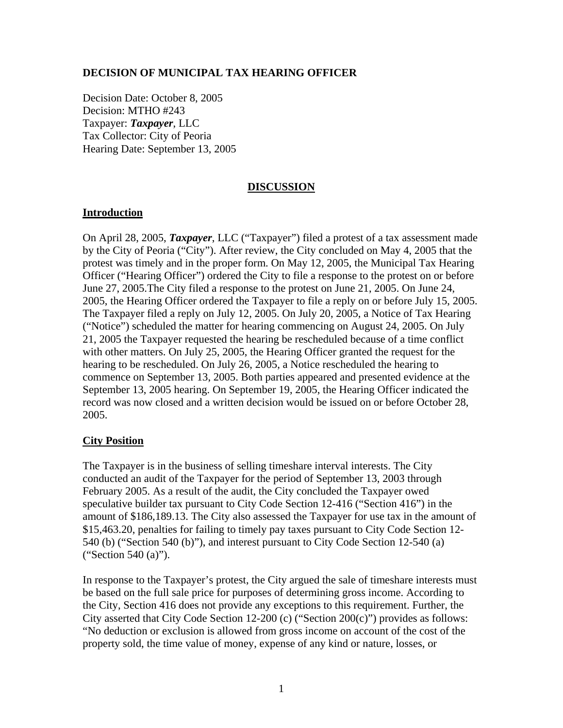## **DECISION OF MUNICIPAL TAX HEARING OFFICER**

Decision Date: October 8, 2005 Decision: MTHO #243 Taxpayer: *Taxpayer*, LLC Tax Collector: City of Peoria Hearing Date: September 13, 2005

# **DISCUSSION**

## **Introduction**

On April 28, 2005, *Taxpayer*, LLC ("Taxpayer") filed a protest of a tax assessment made by the City of Peoria ("City"). After review, the City concluded on May 4, 2005 that the protest was timely and in the proper form. On May 12, 2005, the Municipal Tax Hearing Officer ("Hearing Officer") ordered the City to file a response to the protest on or before June 27, 2005.The City filed a response to the protest on June 21, 2005. On June 24, 2005, the Hearing Officer ordered the Taxpayer to file a reply on or before July 15, 2005. The Taxpayer filed a reply on July 12, 2005. On July 20, 2005, a Notice of Tax Hearing ("Notice") scheduled the matter for hearing commencing on August 24, 2005. On July 21, 2005 the Taxpayer requested the hearing be rescheduled because of a time conflict with other matters. On July 25, 2005, the Hearing Officer granted the request for the hearing to be rescheduled. On July 26, 2005, a Notice rescheduled the hearing to commence on September 13, 2005. Both parties appeared and presented evidence at the September 13, 2005 hearing. On September 19, 2005, the Hearing Officer indicated the record was now closed and a written decision would be issued on or before October 28, 2005.

# **City Position**

The Taxpayer is in the business of selling timeshare interval interests. The City conducted an audit of the Taxpayer for the period of September 13, 2003 through February 2005. As a result of the audit, the City concluded the Taxpayer owed speculative builder tax pursuant to City Code Section 12-416 ("Section 416") in the amount of \$186,189.13. The City also assessed the Taxpayer for use tax in the amount of \$15,463.20, penalties for failing to timely pay taxes pursuant to City Code Section 12- 540 (b) ("Section 540 (b)"), and interest pursuant to City Code Section 12-540 (a) ("Section 540 (a)").

In response to the Taxpayer's protest, the City argued the sale of timeshare interests must be based on the full sale price for purposes of determining gross income. According to the City, Section 416 does not provide any exceptions to this requirement. Further, the City asserted that City Code Section 12-200 (c) ("Section 200(c)") provides as follows: "No deduction or exclusion is allowed from gross income on account of the cost of the property sold, the time value of money, expense of any kind or nature, losses, or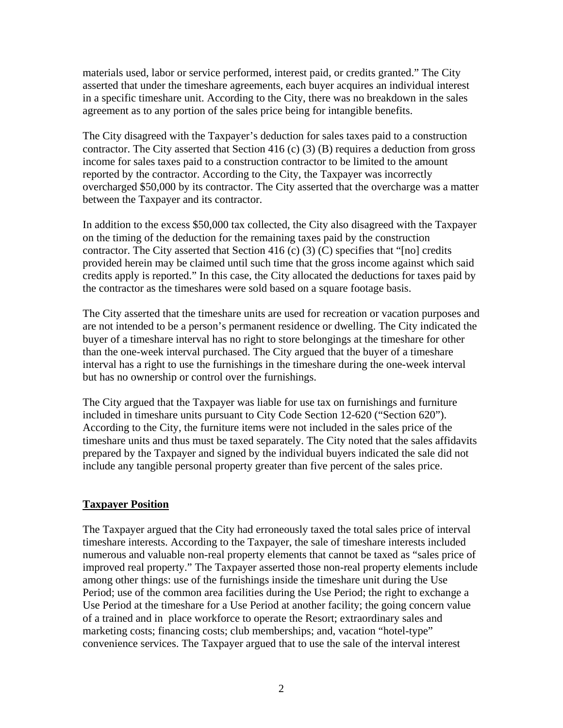materials used, labor or service performed, interest paid, or credits granted." The City asserted that under the timeshare agreements, each buyer acquires an individual interest in a specific timeshare unit. According to the City, there was no breakdown in the sales agreement as to any portion of the sales price being for intangible benefits.

The City disagreed with the Taxpayer's deduction for sales taxes paid to a construction contractor. The City asserted that Section 416 (c) (3) (B) requires a deduction from gross income for sales taxes paid to a construction contractor to be limited to the amount reported by the contractor. According to the City, the Taxpayer was incorrectly overcharged \$50,000 by its contractor. The City asserted that the overcharge was a matter between the Taxpayer and its contractor.

In addition to the excess \$50,000 tax collected, the City also disagreed with the Taxpayer on the timing of the deduction for the remaining taxes paid by the construction contractor. The City asserted that Section 416 (c)  $(3)$  (C) specifies that "[no] credits provided herein may be claimed until such time that the gross income against which said credits apply is reported." In this case, the City allocated the deductions for taxes paid by the contractor as the timeshares were sold based on a square footage basis.

The City asserted that the timeshare units are used for recreation or vacation purposes and are not intended to be a person's permanent residence or dwelling. The City indicated the buyer of a timeshare interval has no right to store belongings at the timeshare for other than the one-week interval purchased. The City argued that the buyer of a timeshare interval has a right to use the furnishings in the timeshare during the one-week interval but has no ownership or control over the furnishings.

The City argued that the Taxpayer was liable for use tax on furnishings and furniture included in timeshare units pursuant to City Code Section 12-620 ("Section 620"). According to the City, the furniture items were not included in the sales price of the timeshare units and thus must be taxed separately. The City noted that the sales affidavits prepared by the Taxpayer and signed by the individual buyers indicated the sale did not include any tangible personal property greater than five percent of the sales price.

# **Taxpayer Position**

The Taxpayer argued that the City had erroneously taxed the total sales price of interval timeshare interests. According to the Taxpayer, the sale of timeshare interests included numerous and valuable non-real property elements that cannot be taxed as "sales price of improved real property." The Taxpayer asserted those non-real property elements include among other things: use of the furnishings inside the timeshare unit during the Use Period; use of the common area facilities during the Use Period; the right to exchange a Use Period at the timeshare for a Use Period at another facility; the going concern value of a trained and in place workforce to operate the Resort; extraordinary sales and marketing costs; financing costs; club memberships; and, vacation "hotel-type" convenience services. The Taxpayer argued that to use the sale of the interval interest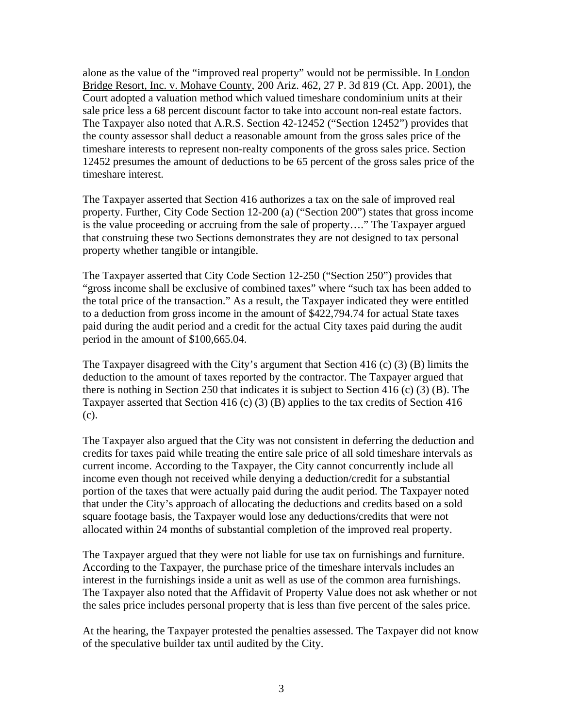alone as the value of the "improved real property" would not be permissible. In London Bridge Resort, Inc. v. Mohave County, 200 Ariz. 462, 27 P. 3d 819 (Ct. App. 2001), the Court adopted a valuation method which valued timeshare condominium units at their sale price less a 68 percent discount factor to take into account non-real estate factors. The Taxpayer also noted that A.R.S. Section 42-12452 ("Section 12452") provides that the county assessor shall deduct a reasonable amount from the gross sales price of the timeshare interests to represent non-realty components of the gross sales price. Section 12452 presumes the amount of deductions to be 65 percent of the gross sales price of the timeshare interest.

The Taxpayer asserted that Section 416 authorizes a tax on the sale of improved real property. Further, City Code Section 12-200 (a) ("Section 200") states that gross income is the value proceeding or accruing from the sale of property…." The Taxpayer argued that construing these two Sections demonstrates they are not designed to tax personal property whether tangible or intangible.

The Taxpayer asserted that City Code Section 12-250 ("Section 250") provides that "gross income shall be exclusive of combined taxes" where "such tax has been added to the total price of the transaction." As a result, the Taxpayer indicated they were entitled to a deduction from gross income in the amount of \$422,794.74 for actual State taxes paid during the audit period and a credit for the actual City taxes paid during the audit period in the amount of \$100,665.04.

The Taxpayer disagreed with the City's argument that Section 416 (c) (3) (B) limits the deduction to the amount of taxes reported by the contractor. The Taxpayer argued that there is nothing in Section 250 that indicates it is subject to Section 416 (c) (3) (B). The Taxpayer asserted that Section 416 (c) (3) (B) applies to the tax credits of Section 416 (c).

The Taxpayer also argued that the City was not consistent in deferring the deduction and credits for taxes paid while treating the entire sale price of all sold timeshare intervals as current income. According to the Taxpayer, the City cannot concurrently include all income even though not received while denying a deduction/credit for a substantial portion of the taxes that were actually paid during the audit period. The Taxpayer noted that under the City's approach of allocating the deductions and credits based on a sold square footage basis, the Taxpayer would lose any deductions/credits that were not allocated within 24 months of substantial completion of the improved real property.

The Taxpayer argued that they were not liable for use tax on furnishings and furniture. According to the Taxpayer, the purchase price of the timeshare intervals includes an interest in the furnishings inside a unit as well as use of the common area furnishings. The Taxpayer also noted that the Affidavit of Property Value does not ask whether or not the sales price includes personal property that is less than five percent of the sales price.

At the hearing, the Taxpayer protested the penalties assessed. The Taxpayer did not know of the speculative builder tax until audited by the City.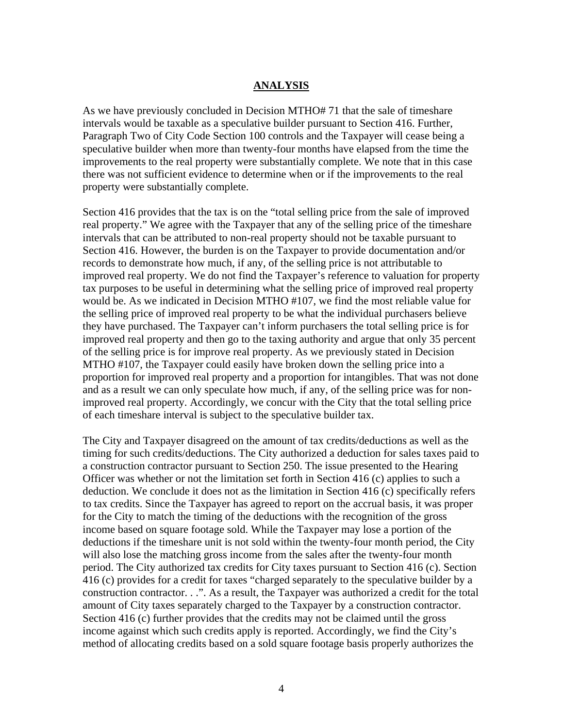## **ANALYSIS**

As we have previously concluded in Decision MTHO# 71 that the sale of timeshare intervals would be taxable as a speculative builder pursuant to Section 416. Further, Paragraph Two of City Code Section 100 controls and the Taxpayer will cease being a speculative builder when more than twenty-four months have elapsed from the time the improvements to the real property were substantially complete. We note that in this case there was not sufficient evidence to determine when or if the improvements to the real property were substantially complete.

Section 416 provides that the tax is on the "total selling price from the sale of improved real property." We agree with the Taxpayer that any of the selling price of the timeshare intervals that can be attributed to non-real property should not be taxable pursuant to Section 416. However, the burden is on the Taxpayer to provide documentation and/or records to demonstrate how much, if any, of the selling price is not attributable to improved real property. We do not find the Taxpayer's reference to valuation for property tax purposes to be useful in determining what the selling price of improved real property would be. As we indicated in Decision MTHO #107, we find the most reliable value for the selling price of improved real property to be what the individual purchasers believe they have purchased. The Taxpayer can't inform purchasers the total selling price is for improved real property and then go to the taxing authority and argue that only 35 percent of the selling price is for improve real property. As we previously stated in Decision MTHO #107, the Taxpayer could easily have broken down the selling price into a proportion for improved real property and a proportion for intangibles. That was not done and as a result we can only speculate how much, if any, of the selling price was for nonimproved real property. Accordingly, we concur with the City that the total selling price of each timeshare interval is subject to the speculative builder tax.

The City and Taxpayer disagreed on the amount of tax credits/deductions as well as the timing for such credits/deductions. The City authorized a deduction for sales taxes paid to a construction contractor pursuant to Section 250. The issue presented to the Hearing Officer was whether or not the limitation set forth in Section 416 (c) applies to such a deduction. We conclude it does not as the limitation in Section 416 (c) specifically refers to tax credits. Since the Taxpayer has agreed to report on the accrual basis, it was proper for the City to match the timing of the deductions with the recognition of the gross income based on square footage sold. While the Taxpayer may lose a portion of the deductions if the timeshare unit is not sold within the twenty-four month period, the City will also lose the matching gross income from the sales after the twenty-four month period. The City authorized tax credits for City taxes pursuant to Section 416 (c). Section 416 (c) provides for a credit for taxes "charged separately to the speculative builder by a construction contractor. . .". As a result, the Taxpayer was authorized a credit for the total amount of City taxes separately charged to the Taxpayer by a construction contractor. Section 416 (c) further provides that the credits may not be claimed until the gross income against which such credits apply is reported. Accordingly, we find the City's method of allocating credits based on a sold square footage basis properly authorizes the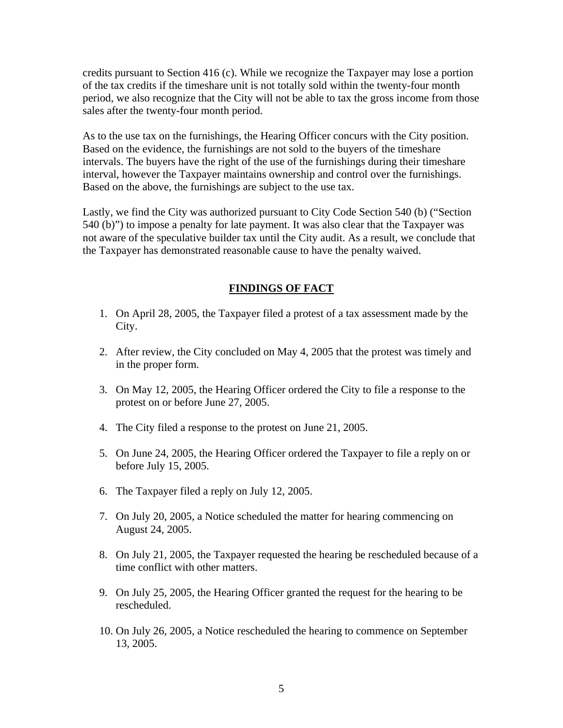credits pursuant to Section 416 (c). While we recognize the Taxpayer may lose a portion of the tax credits if the timeshare unit is not totally sold within the twenty-four month period, we also recognize that the City will not be able to tax the gross income from those sales after the twenty-four month period.

As to the use tax on the furnishings, the Hearing Officer concurs with the City position. Based on the evidence, the furnishings are not sold to the buyers of the timeshare intervals. The buyers have the right of the use of the furnishings during their timeshare interval, however the Taxpayer maintains ownership and control over the furnishings. Based on the above, the furnishings are subject to the use tax.

Lastly, we find the City was authorized pursuant to City Code Section 540 (b) ("Section 540 (b)") to impose a penalty for late payment. It was also clear that the Taxpayer was not aware of the speculative builder tax until the City audit. As a result, we conclude that the Taxpayer has demonstrated reasonable cause to have the penalty waived.

#### **FINDINGS OF FACT**

- 1. On April 28, 2005, the Taxpayer filed a protest of a tax assessment made by the City.
- 2. After review, the City concluded on May 4, 2005 that the protest was timely and in the proper form.
- 3. On May 12, 2005, the Hearing Officer ordered the City to file a response to the protest on or before June 27, 2005.
- 4. The City filed a response to the protest on June 21, 2005.
- 5. On June 24, 2005, the Hearing Officer ordered the Taxpayer to file a reply on or before July 15, 2005.
- 6. The Taxpayer filed a reply on July 12, 2005.
- 7. On July 20, 2005, a Notice scheduled the matter for hearing commencing on August 24, 2005.
- 8. On July 21, 2005, the Taxpayer requested the hearing be rescheduled because of a time conflict with other matters.
- 9. On July 25, 2005, the Hearing Officer granted the request for the hearing to be rescheduled.
- 10. On July 26, 2005, a Notice rescheduled the hearing to commence on September 13, 2005.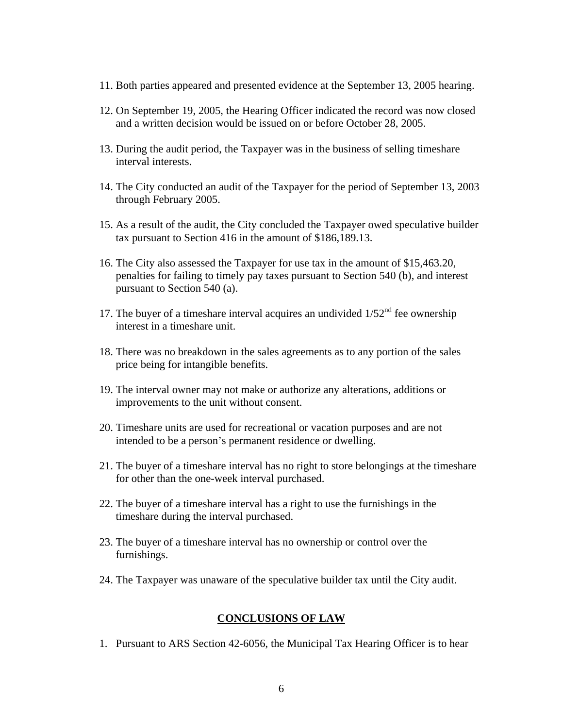- 11. Both parties appeared and presented evidence at the September 13, 2005 hearing.
- 12. On September 19, 2005, the Hearing Officer indicated the record was now closed and a written decision would be issued on or before October 28, 2005.
- 13. During the audit period, the Taxpayer was in the business of selling timeshare interval interests.
- 14. The City conducted an audit of the Taxpayer for the period of September 13, 2003 through February 2005.
- 15. As a result of the audit, the City concluded the Taxpayer owed speculative builder tax pursuant to Section 416 in the amount of \$186,189.13.
- 16. The City also assessed the Taxpayer for use tax in the amount of \$15,463.20, penalties for failing to timely pay taxes pursuant to Section 540 (b), and interest pursuant to Section 540 (a).
- 17. The buyer of a timeshare interval acquires an undivided  $1/52<sup>nd</sup>$  fee ownership interest in a timeshare unit.
- 18. There was no breakdown in the sales agreements as to any portion of the sales price being for intangible benefits.
- 19. The interval owner may not make or authorize any alterations, additions or improvements to the unit without consent.
- 20. Timeshare units are used for recreational or vacation purposes and are not intended to be a person's permanent residence or dwelling.
- 21. The buyer of a timeshare interval has no right to store belongings at the timeshare for other than the one-week interval purchased.
- 22. The buyer of a timeshare interval has a right to use the furnishings in the timeshare during the interval purchased.
- 23. The buyer of a timeshare interval has no ownership or control over the furnishings.
- 24. The Taxpayer was unaware of the speculative builder tax until the City audit.

#### **CONCLUSIONS OF LAW**

1. Pursuant to ARS Section 42-6056, the Municipal Tax Hearing Officer is to hear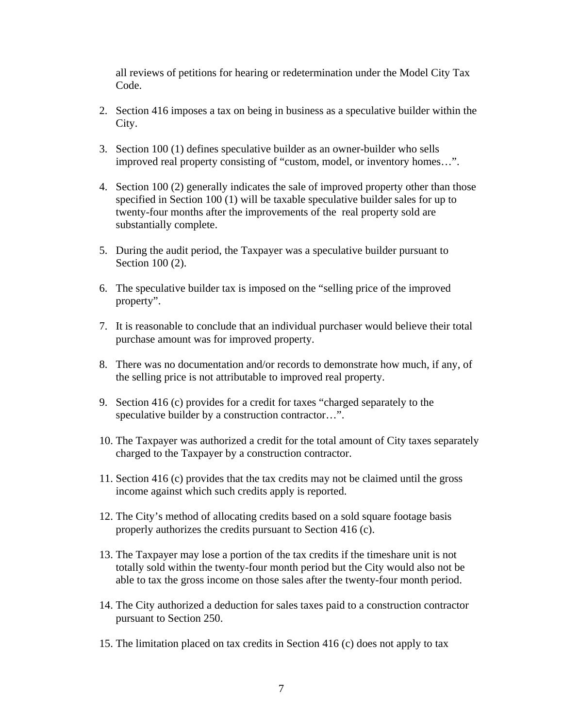all reviews of petitions for hearing or redetermination under the Model City Tax Code.

- 2. Section 416 imposes a tax on being in business as a speculative builder within the City.
- 3. Section 100 (1) defines speculative builder as an owner-builder who sells improved real property consisting of "custom, model, or inventory homes…".
- 4. Section 100 (2) generally indicates the sale of improved property other than those specified in Section 100 (1) will be taxable speculative builder sales for up to twenty-four months after the improvements of the real property sold are substantially complete.
- 5. During the audit period, the Taxpayer was a speculative builder pursuant to Section 100 (2).
- 6. The speculative builder tax is imposed on the "selling price of the improved property".
- 7. It is reasonable to conclude that an individual purchaser would believe their total purchase amount was for improved property.
- 8. There was no documentation and/or records to demonstrate how much, if any, of the selling price is not attributable to improved real property.
- 9. Section 416 (c) provides for a credit for taxes "charged separately to the speculative builder by a construction contractor...".
- 10. The Taxpayer was authorized a credit for the total amount of City taxes separately charged to the Taxpayer by a construction contractor.
- 11. Section 416 (c) provides that the tax credits may not be claimed until the gross income against which such credits apply is reported.
- 12. The City's method of allocating credits based on a sold square footage basis properly authorizes the credits pursuant to Section 416 (c).
- 13. The Taxpayer may lose a portion of the tax credits if the timeshare unit is not totally sold within the twenty-four month period but the City would also not be able to tax the gross income on those sales after the twenty-four month period.
- 14. The City authorized a deduction for sales taxes paid to a construction contractor pursuant to Section 250.
- 15. The limitation placed on tax credits in Section 416 (c) does not apply to tax